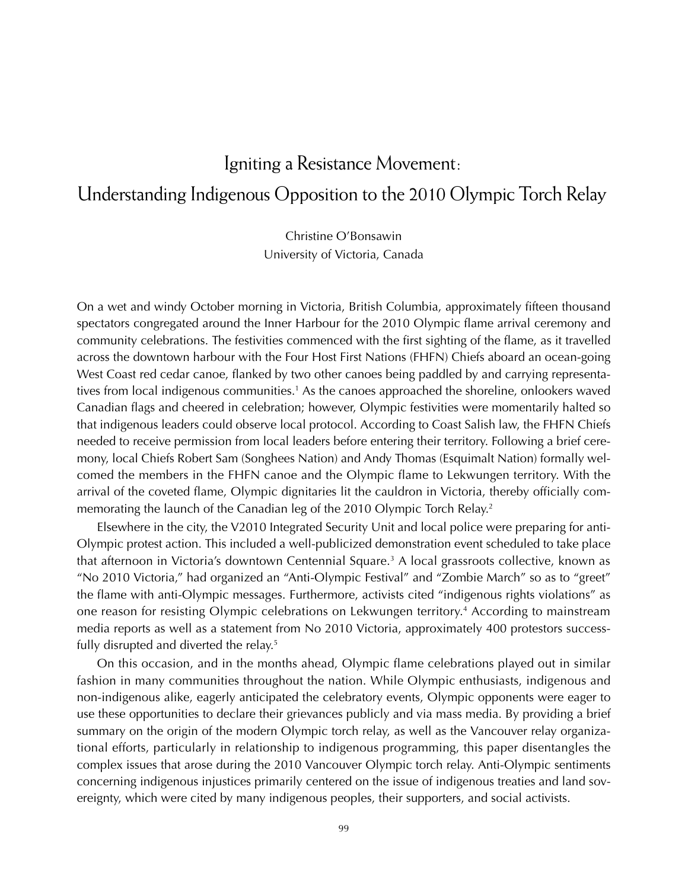## Igniting a Resistance Movement :Understanding Indigenous Opposition to the 2010 Olympic Torch Relay

Christine O'Bonsawin University of Victoria, Canada

On a wet and windy October morning in Victoria, British Columbia, approximately fifteen thousand spectators congregated around the Inner Harbour for the 2010 Olympic flame arrival ceremony and community celebrations. The festivities commenced with the first sighting of the flame, as it travelled across the downtown harbour with the Four Host First Nations (FHFN) Chiefs aboard an ocean-going West Coast red cedar canoe, flanked by two other canoes being paddled by and carrying representatives from local indigenous communities.<sup>1</sup> As the canoes approached the shoreline, onlookers waved Canadian flags and cheered in celebration; however, Olympic festivities were momentarily halted so that indigenous leaders could observe local protocol. According to Coast Salish law, the FHFN Chiefs needed to receive permission from local leaders before entering their territory. Following a brief ceremony, local Chiefs Robert Sam (Songhees Nation) and Andy Thomas (Esquimalt Nation) formally welcomed the members in the FHFN canoe and the Olympic flame to Lekwungen territory. With the arrival of the coveted flame, Olympic dignitaries lit the cauldron in Victoria, thereby officially commemorating the launch of the Canadian leg of the 2010 Olympic Torch Relay.<sup>2</sup>

Elsewhere in the city, the V2010 Integrated Security Unit and local police were preparing for anti-Olympic protest action. This included a well-publicized demonstration event scheduled to take place that afternoon in Victoria's downtown Centennial Square.<sup>3</sup> A local grassroots collective, known as "No 2010 Victoria," had organized an "Anti-Olympic Festival" and "Zombie March" so as to "greet" the flame with anti-Olympic messages. Furthermore, activists cited "indigenous rights violations" as one reason for resisting Olympic celebrations on Lekwungen territory.4 According to mainstream media reports as well as a statement from No 2010 Victoria, approximately 400 protestors successfully disrupted and diverted the relay.<sup>5</sup>

On this occasion, and in the months ahead, Olympic flame celebrations played out in similar fashion in many communities throughout the nation. While Olympic enthusiasts, indigenous and non-indigenous alike, eagerly anticipated the celebratory events, Olympic opponents were eager to use these opportunities to declare their grievances publicly and via mass media. By providing a brief summary on the origin of the modern Olympic torch relay, as well as the Vancouver relay organizational efforts, particularly in relationship to indigenous programming, this paper disentangles the complex issues that arose during the 2010 Vancouver Olympic torch relay. Anti-Olympic sentiments concerning indigenous injustices primarily centered on the issue of indigenous treaties and land sovereignty, which were cited by many indigenous peoples, their supporters, and social activists.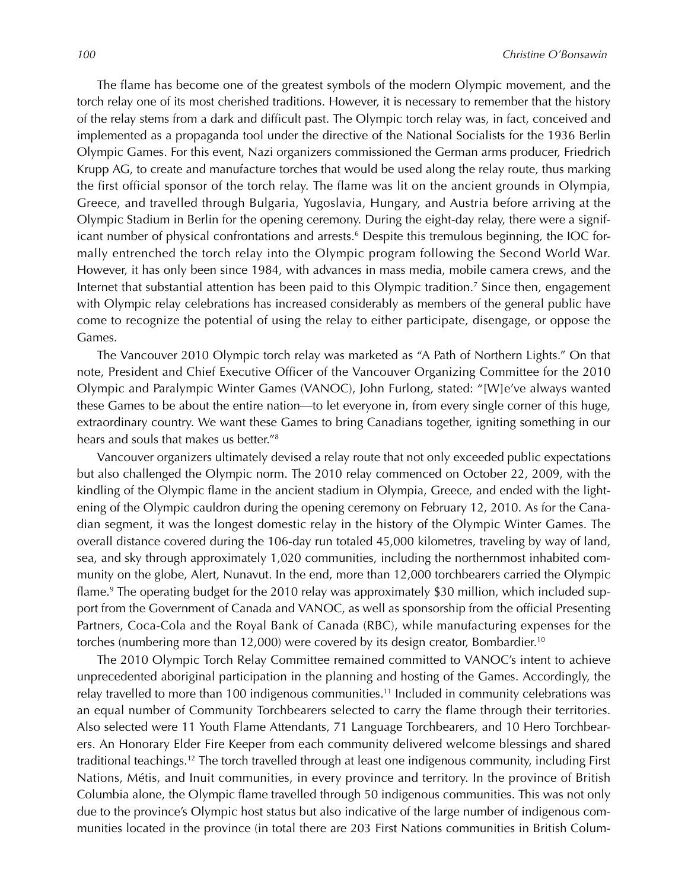The flame has become one of the greatest symbols of the modern Olympic movement, and the torch relay one of its most cherished traditions. However, it is necessary to remember that the history of the relay stems from a dark and difficult past. The Olympic torch relay was, in fact, conceived and implemented as a propaganda tool under the directive of the National Socialists for the 1936 Berlin Olympic Games. For this event, Nazi organizers commissioned the German arms producer, Friedrich Krupp AG, to create and manufacture torches that would be used along the relay route, thus marking the first official sponsor of the torch relay. The flame was lit on the ancient grounds in Olympia, Greece, and travelled through Bulgaria, Yugoslavia, Hungary, and Austria before arriving at the Olympic Stadium in Berlin for the opening ceremony. During the eight-day relay, there were a significant number of physical confrontations and arrests.<sup>6</sup> Despite this tremulous beginning, the IOC formally entrenched the torch relay into the Olympic program following the Second World War. However, it has only been since 1984, with advances in mass media, mobile camera crews, and the Internet that substantial attention has been paid to this Olympic tradition.<sup>7</sup> Since then, engagement with Olympic relay celebrations has increased considerably as members of the general public have come to recognize the potential of using the relay to either participate, disengage, or oppose the Games.

The Vancouver 2010 Olympic torch relay was marketed as "A Path of Northern Lights." On that note, President and Chief Executive Officer of the Vancouver Organizing Committee for the 2010 Olympic and Paralympic Winter Games (VANOC), John Furlong, stated: "[W]e've always wanted these Games to be about the entire nation—to let everyone in, from every single corner of this huge, extraordinary country. We want these Games to bring Canadians together, igniting something in our hears and souls that makes us better."8

Vancouver organizers ultimately devised a relay route that not only exceeded public expectations but also challenged the Olympic norm. The 2010 relay commenced on October 22, 2009, with the kindling of the Olympic flame in the ancient stadium in Olympia, Greece, and ended with the lightening of the Olympic cauldron during the opening ceremony on February 12, 2010. As for the Canadian segment, it was the longest domestic relay in the history of the Olympic Winter Games. The overall distance covered during the 106-day run totaled 45,000 kilometres, traveling by way of land, sea, and sky through approximately 1,020 communities, including the northernmost inhabited community on the globe, Alert, Nunavut. In the end, more than 12,000 torchbearers carried the Olympic flame.9 The operating budget for the 2010 relay was approximately \$30 million, which included support from the Government of Canada and VANOC, as well as sponsorship from the official Presenting Partners, Coca-Cola and the Royal Bank of Canada (RBC), while manufacturing expenses for the torches (numbering more than 12,000) were covered by its design creator, Bombardier.<sup>10</sup>

The 2010 Olympic Torch Relay Committee remained committed to VANOC's intent to achieve unprecedented aboriginal participation in the planning and hosting of the Games. Accordingly, the relay travelled to more than 100 indigenous communities.<sup>11</sup> Included in community celebrations was an equal number of Community Torchbearers selected to carry the flame through their territories. Also selected were 11 Youth Flame Attendants, 71 Language Torchbearers, and 10 Hero Torchbearers. An Honorary Elder Fire Keeper from each community delivered welcome blessings and shared traditional teachings.12 The torch travelled through at least one indigenous community, including First Nations, Métis, and Inuit communities, in every province and territory. In the province of British Columbia alone, the Olympic flame travelled through 50 indigenous communities. This was not only due to the province's Olympic host status but also indicative of the large number of indigenous communities located in the province (in total there are 203 First Nations communities in British Colum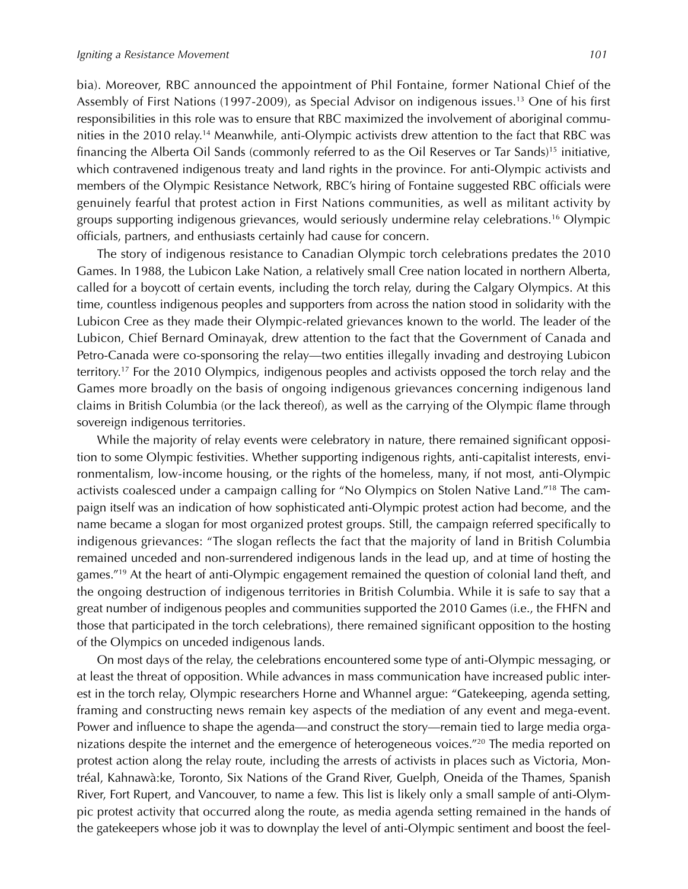bia). Moreover, RBC announced the appointment of Phil Fontaine, former National Chief of the Assembly of First Nations (1997-2009), as Special Advisor on indigenous issues.13 One of his first responsibilities in this role was to ensure that RBC maximized the involvement of aboriginal communities in the 2010 relay.14 Meanwhile, anti-Olympic activists drew attention to the fact that RBC was financing the Alberta Oil Sands (commonly referred to as the Oil Reserves or Tar Sands)<sup>15</sup> initiative, which contravened indigenous treaty and land rights in the province. For anti-Olympic activists and members of the Olympic Resistance Network, RBC's hiring of Fontaine suggested RBC officials were genuinely fearful that protest action in First Nations communities, as well as militant activity by groups supporting indigenous grievances, would seriously undermine relay celebrations.16 Olympic officials, partners, and enthusiasts certainly had cause for concern.

The story of indigenous resistance to Canadian Olympic torch celebrations predates the 2010 Games. In 1988, the Lubicon Lake Nation, a relatively small Cree nation located in northern Alberta, called for a boycott of certain events, including the torch relay, during the Calgary Olympics. At this time, countless indigenous peoples and supporters from across the nation stood in solidarity with the Lubicon Cree as they made their Olympic-related grievances known to the world. The leader of the Lubicon, Chief Bernard Ominayak, drew attention to the fact that the Government of Canada and Petro-Canada were co-sponsoring the relay—two entities illegally invading and destroying Lubicon territory.17 For the 2010 Olympics, indigenous peoples and activists opposed the torch relay and the Games more broadly on the basis of ongoing indigenous grievances concerning indigenous land claims in British Columbia (or the lack thereof), as well as the carrying of the Olympic flame through sovereign indigenous territories.

While the majority of relay events were celebratory in nature, there remained significant opposition to some Olympic festivities. Whether supporting indigenous rights, anti-capitalist interests, environmentalism, low-income housing, or the rights of the homeless, many, if not most, anti-Olympic activists coalesced under a campaign calling for "No Olympics on Stolen Native Land."18 The campaign itself was an indication of how sophisticated anti-Olympic protest action had become, and the name became a slogan for most organized protest groups. Still, the campaign referred specifically to indigenous grievances: "The slogan reflects the fact that the majority of land in British Columbia remained unceded and non-surrendered indigenous lands in the lead up, and at time of hosting the games."<sup>19</sup> At the heart of anti-Olympic engagement remained the question of colonial land theft, and the ongoing destruction of indigenous territories in British Columbia. While it is safe to say that a great number of indigenous peoples and communities supported the 2010 Games (i.e., the FHFN and those that participated in the torch celebrations), there remained significant opposition to the hosting of the Olympics on unceded indigenous lands.

On most days of the relay, the celebrations encountered some type of anti-Olympic messaging, or at least the threat of opposition. While advances in mass communication have increased public interest in the torch relay, Olympic researchers Horne and Whannel argue: "Gatekeeping, agenda setting, framing and constructing news remain key aspects of the mediation of any event and mega-event. Power and influence to shape the agenda—and construct the story—remain tied to large media organizations despite the internet and the emergence of heterogeneous voices."20 The media reported on protest action along the relay route, including the arrests of activists in places such as Victoria, Montréal, Kahnawà:ke, Toronto, Six Nations of the Grand River, Guelph, Oneida of the Thames, Spanish River, Fort Rupert, and Vancouver, to name a few. This list is likely only a small sample of anti-Olympic protest activity that occurred along the route, as media agenda setting remained in the hands of the gatekeepers whose job it was to downplay the level of anti-Olympic sentiment and boost the feel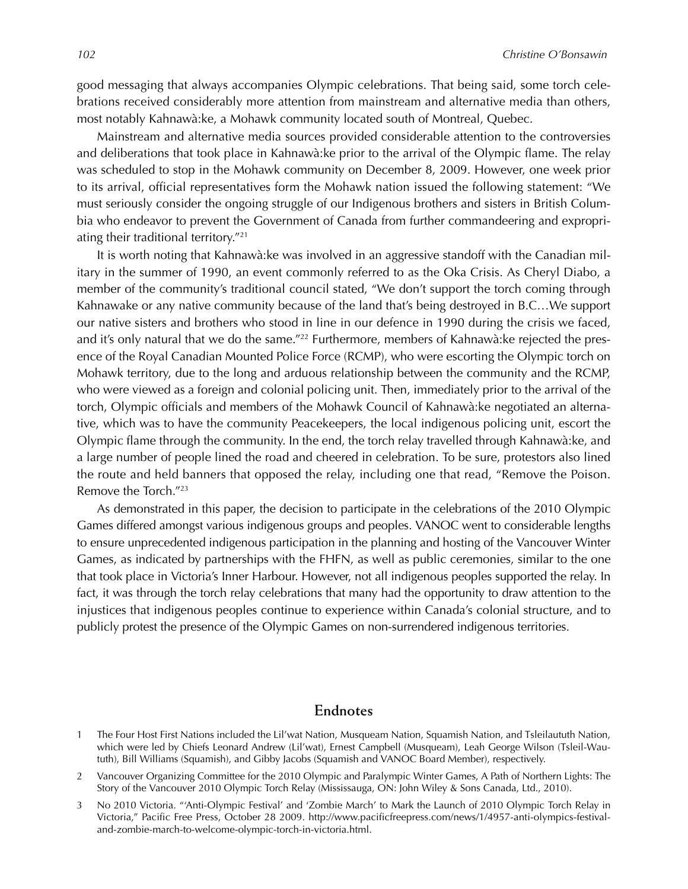good messaging that always accompanies Olympic celebrations. That being said, some torch celebrations received considerably more attention from mainstream and alternative media than others, most notably Kahnawà:ke, a Mohawk community located south of Montreal, Quebec.

Mainstream and alternative media sources provided considerable attention to the controversies and deliberations that took place in Kahnawà:ke prior to the arrival of the Olympic flame. The relay was scheduled to stop in the Mohawk community on December 8, 2009. However, one week prior to its arrival, official representatives form the Mohawk nation issued the following statement: "We must seriously consider the ongoing struggle of our Indigenous brothers and sisters in British Columbia who endeavor to prevent the Government of Canada from further commandeering and expropriating their traditional territory."21

It is worth noting that Kahnawà:ke was involved in an aggressive standoff with the Canadian military in the summer of 1990, an event commonly referred to as the Oka Crisis. As Cheryl Diabo, a member of the community's traditional council stated, "We don't support the torch coming through Kahnawake or any native community because of the land that's being destroyed in B.C…We support our native sisters and brothers who stood in line in our defence in 1990 during the crisis we faced, and it's only natural that we do the same."<sup>22</sup> Furthermore, members of Kahnawà: ke rejected the presence of the Royal Canadian Mounted Police Force (RCMP), who were escorting the Olympic torch on Mohawk territory, due to the long and arduous relationship between the community and the RCMP, who were viewed as a foreign and colonial policing unit. Then, immediately prior to the arrival of the torch, Olympic officials and members of the Mohawk Council of Kahnawà:ke negotiated an alternative, which was to have the community Peacekeepers, the local indigenous policing unit, escort the Olympic flame through the community. In the end, the torch relay travelled through Kahnawà:ke, and a large number of people lined the road and cheered in celebration. To be sure, protestors also lined the route and held banners that opposed the relay, including one that read, "Remove the Poison. Remove the Torch."23

As demonstrated in this paper, the decision to participate in the celebrations of the 2010 Olympic Games differed amongst various indigenous groups and peoples. VANOC went to considerable lengths to ensure unprecedented indigenous participation in the planning and hosting of the Vancouver Winter Games, as indicated by partnerships with the FHFN, as well as public ceremonies, similar to the one that took place in Victoria's Inner Harbour. However, not all indigenous peoples supported the relay. In fact, it was through the torch relay celebrations that many had the opportunity to draw attention to the injustices that indigenous peoples continue to experience within Canada's colonial structure, and to publicly protest the presence of the Olympic Games on non-surrendered indigenous territories.

## **Endnotes**

- 1 The Four Host First Nations included the Lil'wat Nation, Musqueam Nation, Squamish Nation, and Tsleilaututh Nation, which were led by Chiefs Leonard Andrew (Lil'wat), Ernest Campbell (Musqueam), Leah George Wilson (Tsleil-Waututh), Bill Williams (Squamish), and Gibby Jacobs (Squamish and VANOC Board Member), respectively.
- 2 Vancouver Organizing Committee for the 2010 Olympic and Paralympic Winter Games, A Path of Northern Lights: The Story of the Vancouver 2010 Olympic Torch Relay (Mississauga, ON: John Wiley & Sons Canada, Ltd., 2010).
- 3 No 2010 Victoria. "'Anti-Olympic Festival' and 'Zombie March' to Mark the Launch of 2010 Olympic Torch Relay in Victoria," Pacific Free Press, October 28 2009. http://www.pacificfreepress.com/news/1/4957-anti-olympics-festivaland-zombie-march-to-welcome-olympic-torch-in-victoria.html.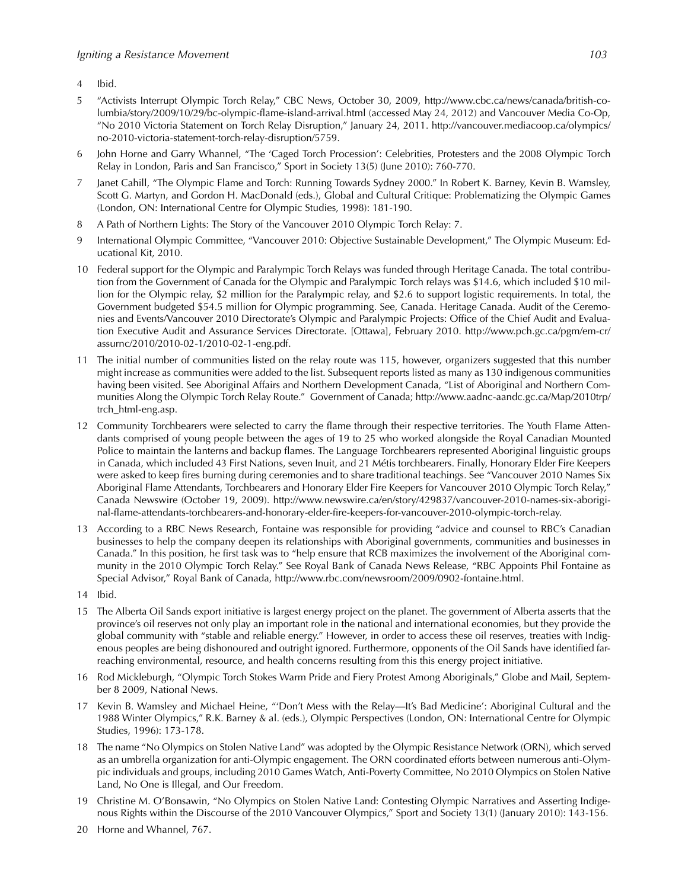- 4 Ibid.
- 5 "Activists Interrupt Olympic Torch Relay," CBC News, October 30, 2009, http://www.cbc.ca/news/canada/british-columbia/story/2009/10/29/bc-olympic-flame-island-arrival.html (accessed May 24, 2012) and Vancouver Media Co-Op, "No 2010 Victoria Statement on Torch Relay Disruption," January 24, 2011. http://vancouver.mediacoop.ca/olympics/ no-2010-victoria-statement-torch-relay-disruption/5759.
- 6 John Horne and Garry Whannel, "The 'Caged Torch Procession': Celebrities, Protesters and the 2008 Olympic Torch Relay in London, Paris and San Francisco," Sport in Society 13(5) (June 2010): 760-770.
- 7 Janet Cahill, "The Olympic Flame and Torch: Running Towards Sydney 2000." In Robert K. Barney, Kevin B. Wamsley, Scott G. Martyn, and Gordon H. MacDonald (eds.), Global and Cultural Critique: Problematizing the Olympic Games (London, ON: International Centre for Olympic Studies, 1998): 181-190.
- 8 A Path of Northern Lights: The Story of the Vancouver 2010 Olympic Torch Relay: 7.
- 9 International Olympic Committee, "Vancouver 2010: Objective Sustainable Development," The Olympic Museum: Educational Kit, 2010.
- 10 Federal support for the Olympic and Paralympic Torch Relays was funded through Heritage Canada. The total contribution from the Government of Canada for the Olympic and Paralympic Torch relays was \$14.6, which included \$10 million for the Olympic relay, \$2 million for the Paralympic relay, and \$2.6 to support logistic requirements. In total, the Government budgeted \$54.5 million for Olympic programming. See, Canada. Heritage Canada. Audit of the Ceremonies and Events/Vancouver 2010 Directorate's Olympic and Paralympic Projects: Office of the Chief Audit and Evaluation Executive Audit and Assurance Services Directorate. [Ottawa], February 2010. http://www.pch.gc.ca/pgm/em-cr/ assurnc/2010/2010-02-1/2010-02-1-eng.pdf.
- 11 The initial number of communities listed on the relay route was 115, however, organizers suggested that this number might increase as communities were added to the list. Subsequent reports listed as many as 130 indigenous communities having been visited. See Aboriginal Affairs and Northern Development Canada, "List of Aboriginal and Northern Communities Along the Olympic Torch Relay Route." Government of Canada; http://www.aadnc-aandc.gc.ca/Map/2010trp/ trch\_html-eng.asp.
- 12 Community Torchbearers were selected to carry the flame through their respective territories. The Youth Flame Attendants comprised of young people between the ages of 19 to 25 who worked alongside the Royal Canadian Mounted Police to maintain the lanterns and backup flames. The Language Torchbearers represented Aboriginal linguistic groups in Canada, which included 43 First Nations, seven Inuit, and 21 Métis torchbearers. Finally, Honorary Elder Fire Keepers were asked to keep fires burning during ceremonies and to share traditional teachings. See "Vancouver 2010 Names Six Aboriginal Flame Attendants, Torchbearers and Honorary Elder Fire Keepers for Vancouver 2010 Olympic Torch Relay," Canada Newswire (October 19, 2009). http://www.newswire.ca/en/story/429837/vancouver-2010-names-six-aboriginal-flame-attendants-torchbearers-and-honorary-elder-fire-keepers-for-vancouver-2010-olympic-torch-relay.
- 13 According to a RBC News Research, Fontaine was responsible for providing "advice and counsel to RBC's Canadian businesses to help the company deepen its relationships with Aboriginal governments, communities and businesses in Canada." In this position, he first task was to "help ensure that RCB maximizes the involvement of the Aboriginal community in the 2010 Olympic Torch Relay." See Royal Bank of Canada News Release, "RBC Appoints Phil Fontaine as Special Advisor," Royal Bank of Canada, http://www.rbc.com/newsroom/2009/0902-fontaine.html.
- 14 Ibid.
- 15 The Alberta Oil Sands export initiative is largest energy project on the planet. The government of Alberta asserts that the province's oil reserves not only play an important role in the national and international economies, but they provide the global community with "stable and reliable energy." However, in order to access these oil reserves, treaties with Indigenous peoples are being dishonoured and outright ignored. Furthermore, opponents of the Oil Sands have identified farreaching environmental, resource, and health concerns resulting from this this energy project initiative.
- 16 Rod Mickleburgh, "Olympic Torch Stokes Warm Pride and Fiery Protest Among Aboriginals," Globe and Mail, September 8 2009, National News.
- 17 Kevin B. Wamsley and Michael Heine, "'Don't Mess with the Relay—It's Bad Medicine': Aboriginal Cultural and the 1988 Winter Olympics," R.K. Barney & al. (eds.), Olympic Perspectives (London, ON: International Centre for Olympic Studies, 1996): 173-178.
- 18 The name "No Olympics on Stolen Native Land" was adopted by the Olympic Resistance Network (ORN), which served as an umbrella organization for anti-Olympic engagement. The ORN coordinated efforts between numerous anti-Olympic individuals and groups, including 2010 Games Watch, Anti-Poverty Committee, No 2010 Olympics on Stolen Native Land, No One is Illegal, and Our Freedom.
- 19 Christine M. O'Bonsawin, "No Olympics on Stolen Native Land: Contesting Olympic Narratives and Asserting Indigenous Rights within the Discourse of the 2010 Vancouver Olympics," Sport and Society 13(1) (January 2010): 143-156.
- 20 Horne and Whannel, 767.